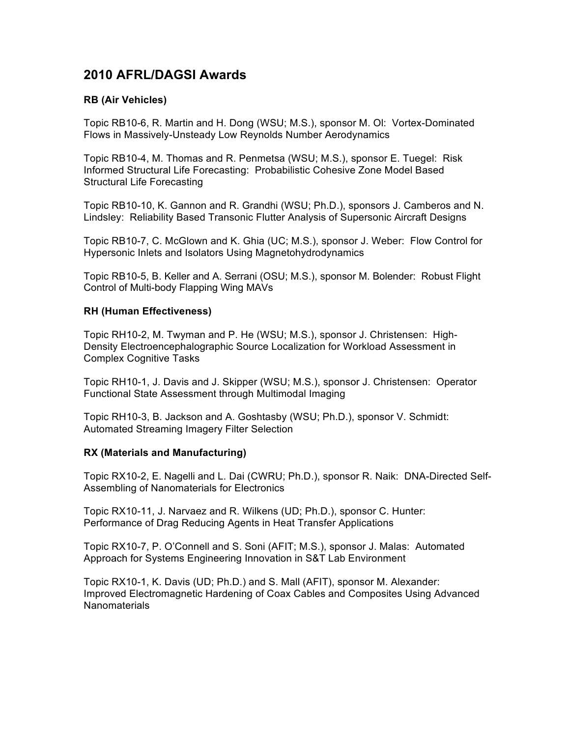# **2010 AFRL/DAGSI Awards**

## **RB (Air Vehicles)**

Topic RB10-6, R. Martin and H. Dong (WSU; M.S.), sponsor M. Ol: Vortex-Dominated Flows in Massively-Unsteady Low Reynolds Number Aerodynamics

Topic RB10-4, M. Thomas and R. Penmetsa (WSU; M.S.), sponsor E. Tuegel: Risk Informed Structural Life Forecasting: Probabilistic Cohesive Zone Model Based Structural Life Forecasting

Topic RB10-10, K. Gannon and R. Grandhi (WSU; Ph.D.), sponsors J. Camberos and N. Lindsley: Reliability Based Transonic Flutter Analysis of Supersonic Aircraft Designs

Topic RB10-7, C. McGlown and K. Ghia (UC; M.S.), sponsor J. Weber: Flow Control for Hypersonic Inlets and Isolators Using Magnetohydrodynamics

Topic RB10-5, B. Keller and A. Serrani (OSU; M.S.), sponsor M. Bolender: Robust Flight Control of Multi-body Flapping Wing MAVs

#### **RH (Human Effectiveness)**

Topic RH10-2, M. Twyman and P. He (WSU; M.S.), sponsor J. Christensen: High-Density Electroencephalographic Source Localization for Workload Assessment in Complex Cognitive Tasks

Topic RH10-1, J. Davis and J. Skipper (WSU; M.S.), sponsor J. Christensen: Operator Functional State Assessment through Multimodal Imaging

Topic RH10-3, B. Jackson and A. Goshtasby (WSU; Ph.D.), sponsor V. Schmidt: Automated Streaming Imagery Filter Selection

#### **RX (Materials and Manufacturing)**

Topic RX10-2, E. Nagelli and L. Dai (CWRU; Ph.D.), sponsor R. Naik: DNA-Directed Self-Assembling of Nanomaterials for Electronics

Topic RX10-11, J. Narvaez and R. Wilkens (UD; Ph.D.), sponsor C. Hunter: Performance of Drag Reducing Agents in Heat Transfer Applications

Topic RX10-7, P. O'Connell and S. Soni (AFIT; M.S.), sponsor J. Malas: Automated Approach for Systems Engineering Innovation in S&T Lab Environment

Topic RX10-1, K. Davis (UD; Ph.D.) and S. Mall (AFIT), sponsor M. Alexander: Improved Electromagnetic Hardening of Coax Cables and Composites Using Advanced **Nanomaterials**